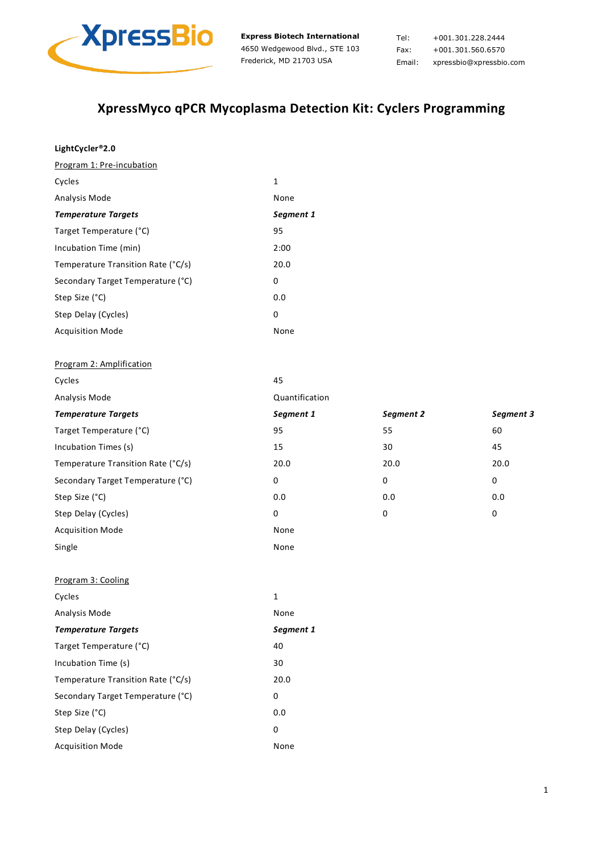

Tel: +001.301.228.2444 Fax: +001.301.560.6570 Email: xpressbio@xpressbio.com

# **XpressMyco qPCR Mycoplasma Detection Kit: Cyclers Programming**

| LightCycler®2.0                    |                |           |           |
|------------------------------------|----------------|-----------|-----------|
| Program 1: Pre-incubation          |                |           |           |
| Cycles                             | $\mathbf 1$    |           |           |
| Analysis Mode                      | None           |           |           |
| <b>Temperature Targets</b>         | Segment 1      |           |           |
| Target Temperature (°C)            | 95             |           |           |
| Incubation Time (min)              | 2:00           |           |           |
| Temperature Transition Rate (°C/s) | 20.0           |           |           |
| Secondary Target Temperature (°C)  | 0              |           |           |
| Step Size (°C)                     | 0.0            |           |           |
| Step Delay (Cycles)                | 0              |           |           |
| <b>Acquisition Mode</b>            | None           |           |           |
| Program 2: Amplification           |                |           |           |
| Cycles                             | 45             |           |           |
| Analysis Mode                      | Quantification |           |           |
| <b>Temperature Targets</b>         | Segment 1      | Segment 2 | Segment 3 |
| Target Temperature (°C)            | 95             | 55        | 60        |
| Incubation Times (s)               | 15             | 30        | 45        |
| Temperature Transition Rate (°C/s) | 20.0           | 20.0      | 20.0      |
| Secondary Target Temperature (°C)  | 0              | $\pmb{0}$ | $\pmb{0}$ |
| Step Size (°C)                     | 0.0            | 0.0       | 0.0       |
| Step Delay (Cycles)                | 0              | 0         | $\pmb{0}$ |
| <b>Acquisition Mode</b>            | None           |           |           |
| Single                             | None           |           |           |
| Program 3: Cooling                 |                |           |           |
| Cycles                             | 1              |           |           |
| Analysis Mode                      | None           |           |           |
| <b>Temperature Targets</b>         | Segment 1      |           |           |
| Target Temperature (°C)            | 40             |           |           |
| Incubation Time (s)                | 30             |           |           |
| Temperature Transition Rate (°C/s) | 20.0           |           |           |
| Secondary Target Temperature (°C)  | 0              |           |           |
| Step Size (°C)                     | 0.0            |           |           |
| Step Delay (Cycles)                | $\pmb{0}$      |           |           |
| <b>Acquisition Mode</b>            | None           |           |           |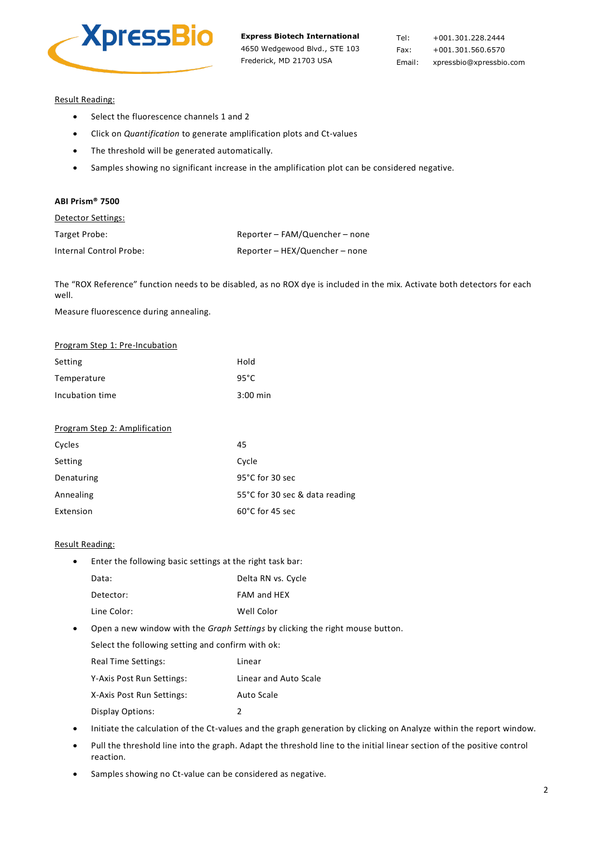

Tel: +001.301.228.2444 Fax: +001.301.560.6570 Email: xpressbio@xpressbio.com

# Result Reading:

- Select the fluorescence channels 1 and 2
- Click on *Quantification* to generate amplification plots and Ct-values
- The threshold will be generated automatically.
- Samples showing no significant increase in the amplification plot can be considered negative.

### **ABI Prism® 7500**

| Detector Settings: |
|--------------------|
|--------------------|

| Target Probe:           | Reporter - FAM/Quencher - none |
|-------------------------|--------------------------------|
| Internal Control Probe: | Reporter - HEX/Quencher - none |

The "ROX Reference" function needs to be disabled, as no ROX dye is included in the mix. Activate both detectors for each well.

Measure fluorescence during annealing.

| Program Step 1: Pre-Incubation |            |
|--------------------------------|------------|
| Setting                        | Hold       |
| Temperature                    | 95°C       |
| Incubation time                | $3:00$ min |

# Program Step 2: Amplification

| Cycles     | 45                             |
|------------|--------------------------------|
| Setting    | Cycle                          |
| Denaturing | 95°C for 30 sec                |
| Annealing  | 55°C for 30 sec & data reading |
| Extension  | $60^{\circ}$ C for 45 sec      |

### Result Reading:

• Enter the following basic settings at the right task bar:

| Data:       | Delta RN vs. Cycle |
|-------------|--------------------|
| Detector:   | FAM and HEX        |
| Line Color: | Well Color         |

• Open a new window with the *Graph Settings* by clicking the right mouse button.

Select the following setting and confirm with ok:

| <b>Real Time Settings:</b> | Linear                |
|----------------------------|-----------------------|
| Y-Axis Post Run Settings:  | Linear and Auto Scale |
| X-Axis Post Run Settings:  | Auto Scale            |
| Display Options:           | 2                     |

- Initiate the calculation of the Ct-values and the graph generation by clicking on Analyze within the report window.
- Pull the threshold line into the graph. Adapt the threshold line to the initial linear section of the positive control reaction.
- Samples showing no Ct-value can be considered as negative.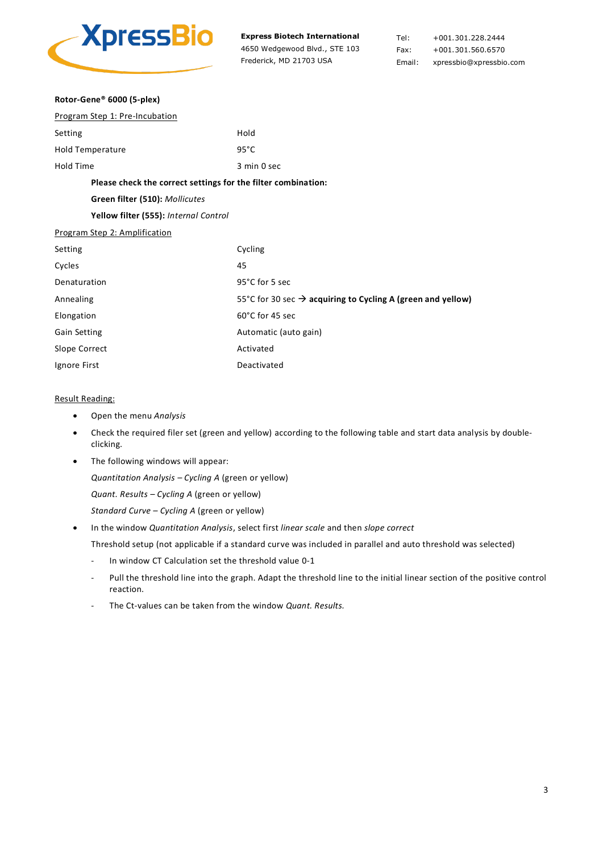

Tel: +001.301.228.2444 Fax: +001.301.560.6570 Email: xpressbio@xpressbio.com

| Rotor-Gene® 6000 (5-plex)                                     |                                                                         |
|---------------------------------------------------------------|-------------------------------------------------------------------------|
| Program Step 1: Pre-Incubation                                |                                                                         |
| Setting                                                       | Hold                                                                    |
| <b>Hold Temperature</b>                                       | $95^{\circ}$ C                                                          |
| <b>Hold Time</b>                                              | 3 min 0 sec                                                             |
| Please check the correct settings for the filter combination: |                                                                         |
| Green filter (510): Mollicutes                                |                                                                         |
| Yellow filter (555): Internal Control                         |                                                                         |
| Program Step 2: Amplification                                 |                                                                         |
| Setting                                                       | Cycling                                                                 |
| Cycles                                                        | 45                                                                      |
| Denaturation                                                  | 95°C for 5 sec                                                          |
| Annealing                                                     | 55°C for 30 sec $\rightarrow$ acquiring to Cycling A (green and yellow) |
| Elongation                                                    | 60°C for 45 sec                                                         |
| <b>Gain Setting</b>                                           | Automatic (auto gain)                                                   |
| Slope Correct                                                 | Activated                                                               |
| Ignore First                                                  | Deactivated                                                             |

# Result Reading:

- Open the menu *Analysis*
- Check the required filer set (green and yellow) according to the following table and start data analysis by doubleclicking.
- The following windows will appear:

*Quantitation Analysis – Cycling A* (green or yellow)

*Quant. Results – Cycling A* (green or yellow)

*Standard Curve – Cycling A* (green or yellow)

• In the window *Quantitation Analysis*, select first *linear scale* and then *slope correct*

Threshold setup (not applicable if a standard curve was included in parallel and auto threshold was selected)

- In window CT Calculation set the threshold value 0-1
- Pull the threshold line into the graph. Adapt the threshold line to the initial linear section of the positive control reaction.
- The Ct-values can be taken from the window *Quant. Results.*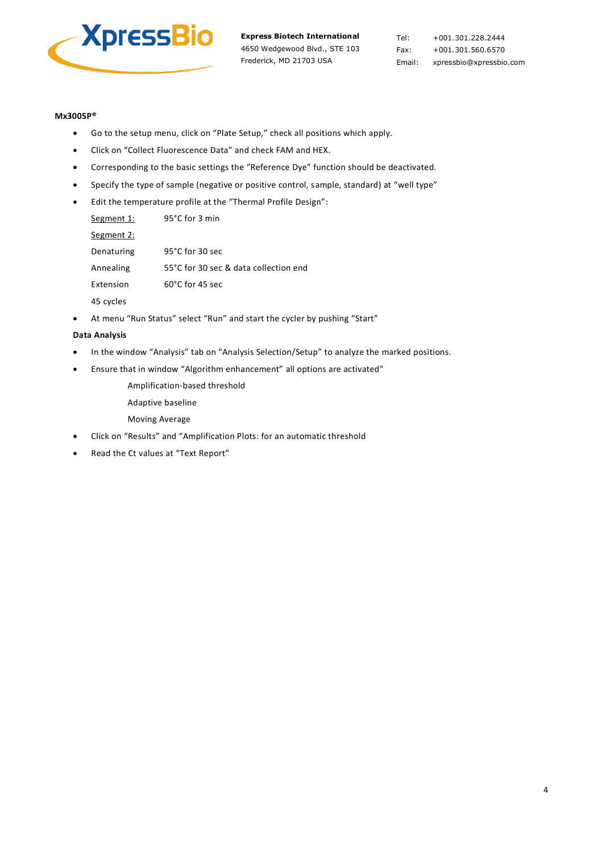

Tel: +001.301.228.2444 Fax: +001.301.560.6570 Email: xpressbio@xpressbio.com

# **Mx3005P®**

- Go to the setup menu, click on "Plate Setup," check all positions which apply.
- Click on "Collect Fluorescence Data" and check FAM and HEX.
- Corresponding to the basic settings the "Reference Dye" function should be deactivated.
- Specify the type of sample (negative or positive control, sample, standard) at "well type"
- Edit the temperature profile at the "Thermal Profile Design":

| Segment 1: | 95°C for 3 min                        |
|------------|---------------------------------------|
| Segment 2: |                                       |
| Denaturing | $95^{\circ}$ C for 30 sec             |
| Annealing  | 55°C for 30 sec & data collection end |
| Extension  | 60°C for 45 sec                       |
| 45 cycles  |                                       |

• At menu "Run Status" select "Run" and start the cycler by pushing "Start"

# **Data Analysis**

- In the window "Analysis" tab on "Analysis Selection/Setup" to analyze the marked positions.
- Ensure that in window "Algorithm enhancement" all options are activated"

Amplification-based threshold

- Adaptive baseline
- Moving Average
- Click on "Results" and "Amplification Plots: for an automatic threshold
- Read the Ct values at "Text Report"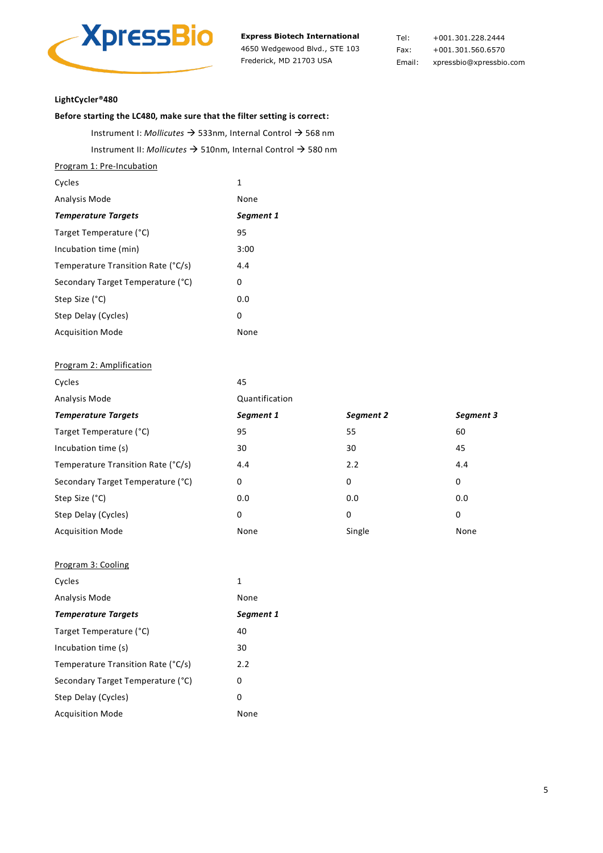

Tel: +001.301.228.2444 Fax: +001.301.560.6570 Email: xpressbio@xpressbio.com

### **LightCycler®480**

# **Before starting the LC480, make sure that the filter setting is correct:**

Instrument I: *Mollicutes* → 533nm, Internal Control → 568 nm Instrument II: *Mollicutes* → 510nm, Internal Control → 580 nm

Program 1: Pre-Incubation

| Cycles                             | 1         |
|------------------------------------|-----------|
| Analysis Mode                      | None      |
| <b>Temperature Targets</b>         | Segment 1 |
| Target Temperature (°C)            | 95        |
| Incubation time (min)              | 3:00      |
| Temperature Transition Rate (°C/s) | 4.4       |
| Secondary Target Temperature (°C)  | 0         |
| Step Size (°C)                     | 0.0       |
| Step Delay (Cycles)                | 0         |
| <b>Acquisition Mode</b>            | None      |

# Program 2: Amplification

| Cycles                             | 45             |           |           |
|------------------------------------|----------------|-----------|-----------|
| Analysis Mode                      | Quantification |           |           |
| <b>Temperature Targets</b>         | Segment 1      | Segment 2 | Segment 3 |
| Target Temperature (°C)            | 95             | 55        | 60        |
| Incubation time (s)                | 30             | 30        | 45        |
| Temperature Transition Rate (°C/s) | 4.4            | 2.2       | 4.4       |
| Secondary Target Temperature (°C)  | 0              | 0         | 0         |
| Step Size (°C)                     | 0.0            | 0.0       | 0.0       |
| Step Delay (Cycles)                | 0              | 0         | 0         |
| <b>Acquisition Mode</b>            | None           | Single    | None      |

# Program 3: Cooling

| Cycles                             | 1         |
|------------------------------------|-----------|
| Analysis Mode                      | None      |
| <b>Temperature Targets</b>         | Segment 1 |
| Target Temperature (°C)            | 40        |
| Incubation time (s)                | 30        |
| Temperature Transition Rate (°C/s) | 2.2       |
| Secondary Target Temperature (°C)  | 0         |
| Step Delay (Cycles)                | 0         |
| <b>Acquisition Mode</b>            | None      |